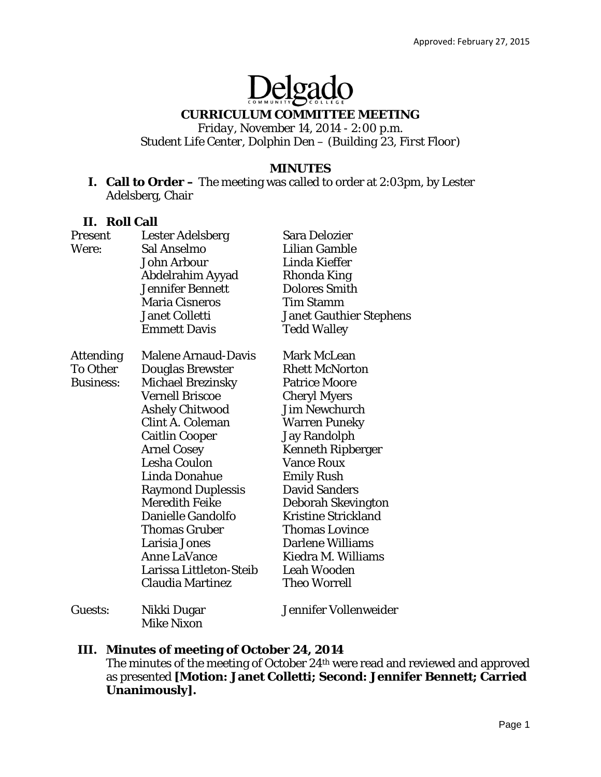# Delgado

# **CURRICULUM COMMITTEE MEETING**

*Friday, November 14, 2014 - 2:00 p.m. Student Life Center, Dolphin Den – (Building 23, First Floor)* 

#### **MINUTES**

**I. Call to Order –** The meeting was called to order at 2:03pm, by Lester Adelsberg, Chair

#### **II. Roll Call**

| Present          | Lester Adelsberg           | <b>Sara Delozier</b>           |
|------------------|----------------------------|--------------------------------|
| Were:            | Sal Anselmo                | <b>Lilian Gamble</b>           |
|                  | John Arbour                | <b>Linda Kieffer</b>           |
|                  | Abdelrahim Ayyad           | Rhonda King                    |
|                  | <b>Jennifer Bennett</b>    | <b>Dolores Smith</b>           |
|                  | <b>Maria Cisneros</b>      | <b>Tim Stamm</b>               |
|                  | <b>Janet Colletti</b>      | <b>Janet Gauthier Stephens</b> |
|                  | <b>Emmett Davis</b>        | <b>Tedd Walley</b>             |
| <b>Attending</b> | <b>Malene Arnaud-Davis</b> | <b>Mark McLean</b>             |
| <b>To Other</b>  | <b>Douglas Brewster</b>    | <b>Rhett McNorton</b>          |
| <b>Business:</b> | <b>Michael Brezinsky</b>   | <b>Patrice Moore</b>           |
|                  | <b>Vernell Briscoe</b>     | <b>Cheryl Myers</b>            |
|                  | <b>Ashely Chitwood</b>     | <b>Jim Newchurch</b>           |
|                  | <b>Clint A. Coleman</b>    | Warren Puneky                  |
|                  | <b>Caitlin Cooper</b>      | <b>Jay Randolph</b>            |
|                  | <b>Arnel Cosey</b>         | <b>Kenneth Ripberger</b>       |
|                  | <b>Lesha Coulon</b>        | <b>Vance Roux</b>              |
|                  | <b>Linda Donahue</b>       | <b>Emily Rush</b>              |
|                  | <b>Raymond Duplessis</b>   | <b>David Sanders</b>           |
|                  | <b>Meredith Feike</b>      | Deborah Skevington             |
|                  | Danielle Gandolfo          | <b>Kristine Strickland</b>     |
|                  | <b>Thomas Gruber</b>       | Thomas Lovince                 |
|                  | Larisia Jones              | <b>Darlene Williams</b>        |
|                  | <b>Anne LaVance</b>        | Kiedra M. Williams             |
|                  | Larissa Littleton-Steib    | <b>Leah Wooden</b>             |
|                  | Claudia Martinez           | <b>Theo Worrell</b>            |
| Guests:          | Nikki Dugar                | Jennifer Vollenweider          |
|                  | <b>Mike Nixon</b>          |                                |

#### **III. Minutes of meeting of October 24, 2014**

The minutes of the meeting of October 24th were read and reviewed and approved as presented **[Motion: Janet Colletti; Second: Jennifer Bennett; Carried Unanimously].**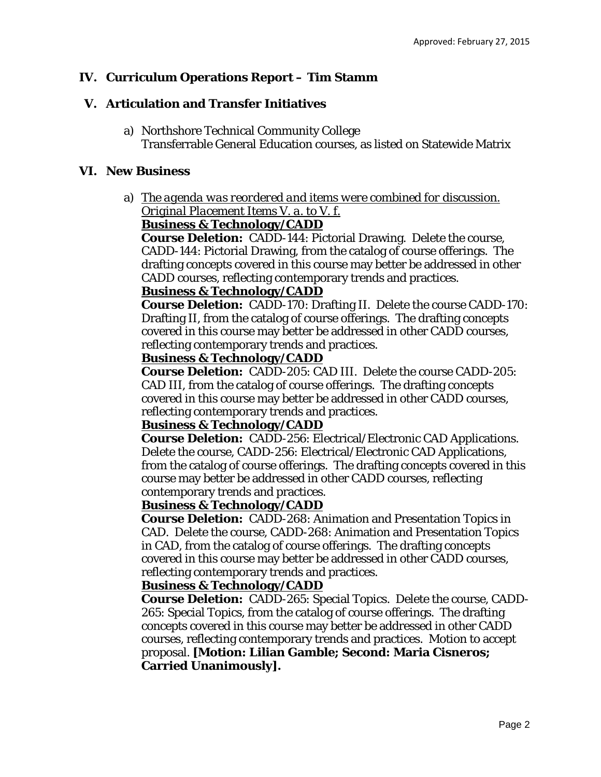# **IV. Curriculum Operations Report – Tim Stamm**

## **V. Articulation and Transfer Initiatives**

a) Northshore Technical Community College Transferrable General Education courses, as listed on Statewide Matrix

#### **VI. New Business**

a) *The agenda was reordered and items were combined for discussion. Original Placement Items V. a. to V. f.* 

#### **Business & Technology/CADD**

**Course Deletion:** CADD-144: Pictorial Drawing. Delete the course, CADD-144: Pictorial Drawing, from the catalog of course offerings. The drafting concepts covered in this course may better be addressed in other CADD courses, reflecting contemporary trends and practices.

#### **Business & Technology/CADD**

**Course Deletion:** CADD-170: Drafting II. Delete the course CADD-170: Drafting II, from the catalog of course offerings. The drafting concepts covered in this course may better be addressed in other CADD courses, reflecting contemporary trends and practices.

#### **Business & Technology/CADD**

**Course Deletion:** CADD-205: CAD III. Delete the course CADD-205: CAD III, from the catalog of course offerings. The drafting concepts covered in this course may better be addressed in other CADD courses, reflecting contemporary trends and practices.

#### **Business & Technology/CADD**

**Course Deletion:** CADD-256: Electrical/Electronic CAD Applications. Delete the course, CADD-256: Electrical/Electronic CAD Applications, from the catalog of course offerings. The drafting concepts covered in this course may better be addressed in other CADD courses, reflecting contemporary trends and practices.

#### **Business & Technology/CADD**

**Course Deletion:** CADD-268: Animation and Presentation Topics in CAD. Delete the course, CADD-268: Animation and Presentation Topics in CAD, from the catalog of course offerings. The drafting concepts covered in this course may better be addressed in other CADD courses, reflecting contemporary trends and practices.

#### **Business & Technology/CADD**

**Course Deletion:** CADD-265: Special Topics. Delete the course, CADD-265: Special Topics, from the catalog of course offerings. The drafting concepts covered in this course may better be addressed in other CADD courses, reflecting contemporary trends and practices. Motion to accept proposal. **[Motion: Lilian Gamble; Second: Maria Cisneros; Carried Unanimously].**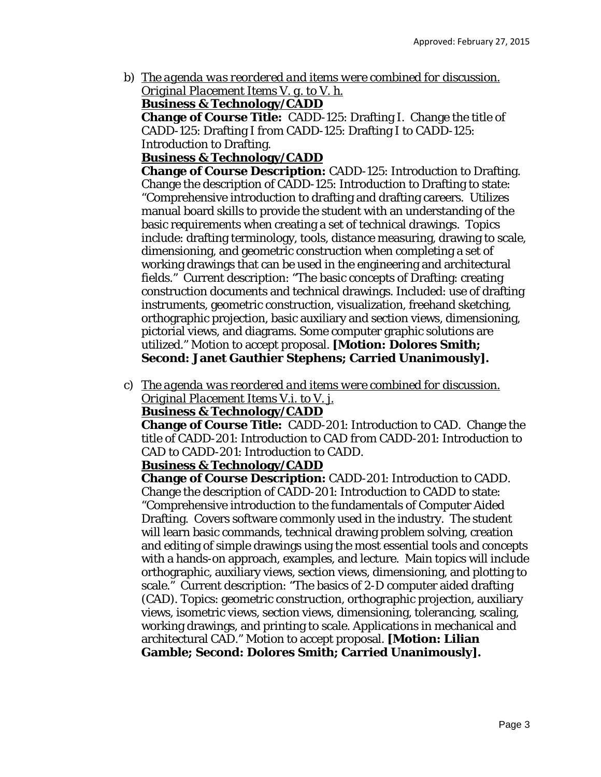b) *The agenda was reordered and items were combined for discussion. Original Placement Items V. g. to V. h.* 

**Business & Technology/CADD**

**Change of Course Title:** CADD-125: Drafting I. Change the title of CADD-125: Drafting I *from* CADD-125: Drafting I *to* CADD-125: Introduction to Drafting.

# **Business & Technology/CADD**

**Change of Course Description:** CADD-125: Introduction to Drafting. Change the description of CADD-125: Introduction to Drafting to state: "Comprehensive introduction to drafting and drafting careers. Utilizes manual board skills to provide the student with an understanding of the basic requirements when creating a set of technical drawings. Topics include: drafting terminology, tools, distance measuring, drawing to scale, dimensioning, and geometric construction when completing a set of working drawings that can be used in the engineering and architectural fields." Current description: "The basic concepts of Drafting: creating construction documents and technical drawings. Included: use of drafting instruments, geometric construction, visualization, freehand sketching, orthographic projection, basic auxiliary and section views, dimensioning, pictorial views, and diagrams. Some computer graphic solutions are utilized." Motion to accept proposal. **[Motion: Dolores Smith; Second: Janet Gauthier Stephens; Carried Unanimously].**

c) *The agenda was reordered and items were combined for discussion. Original Placement Items V.i. to V. j.* 

# **Business & Technology/CADD**

**Change of Course Title:** CADD-201: Introduction to CAD. Change the title of CADD-201: Introduction to CAD *from* CADD-201: Introduction to CAD *to* CADD-201: Introduction to CADD.

#### **Business & Technology/CADD**

**Change of Course Description:** CADD-201: Introduction to CADD. Change the description of CADD-201: Introduction to CADD to state: "Comprehensive introduction to the fundamentals of Computer Aided Drafting. Covers software commonly used in the industry. The student will learn basic commands, technical drawing problem solving, creation and editing of simple drawings using the most essential tools and concepts with a hands-on approach, examples, and lecture. Main topics will include orthographic, auxiliary views, section views, dimensioning, and plotting to scale." Current description: "The basics of 2-D computer aided drafting (CAD). Topics: geometric construction, orthographic projection, auxiliary views, isometric views, section views, dimensioning, tolerancing, scaling, working drawings, and printing to scale. Applications in mechanical and architectural CAD." Motion to accept proposal. **[Motion: Lilian Gamble; Second: Dolores Smith; Carried Unanimously].**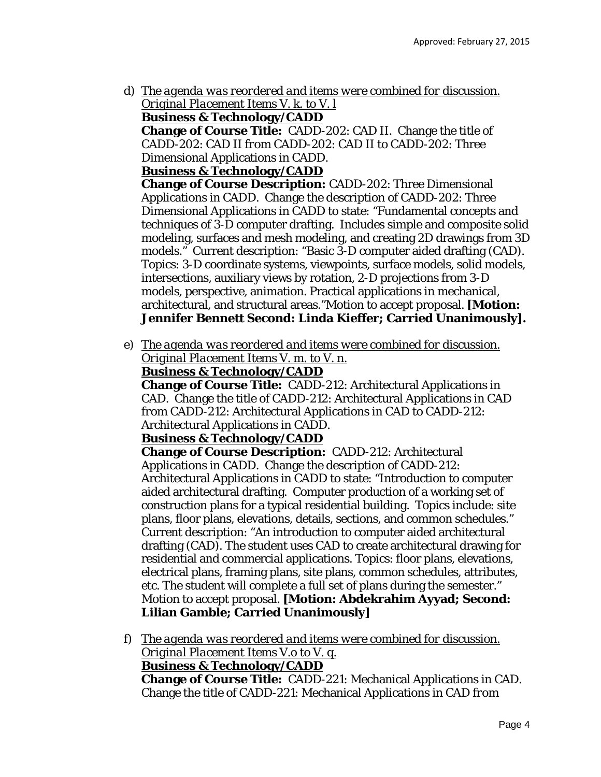d) *The agenda was reordered and items were combined for discussion. Original Placement Items V. k. to V. l* 

**Business & Technology/CADD**

**Change of Course Title:** CADD-202: CAD II. Change the title of CADD-202: CAD II *from* CADD-202: CAD II *to* CADD-202: Three Dimensional Applications in CADD.

#### **Business & Technology/CADD**

**Change of Course Description:** CADD-202: Three Dimensional Applications in CADD. Change the description of CADD-202: Three Dimensional Applications in CADD to state: "Fundamental concepts and techniques of 3-D computer drafting. Includes simple and composite solid modeling, surfaces and mesh modeling, and creating 2D drawings from 3D models." Current description: "Basic 3-D computer aided drafting (CAD). Topics: 3-D coordinate systems, viewpoints, surface models, solid models, intersections, auxiliary views by rotation, 2-D projections from 3-D models, perspective, animation. Practical applications in mechanical, architectural, and structural areas."Motion to accept proposal. **[Motion: Jennifer Bennett Second: Linda Kieffer; Carried Unanimously].**

e) *The agenda was reordered and items were combined for discussion. Original Placement Items V. m. to V. n.* 

#### **Business & Technology/CADD**

**Change of Course Title:** CADD-212: Architectural Applications in CAD. Change the title of CADD-212: Architectural Applications in CAD *from* CADD-212: Architectural Applications in CAD *to* CADD-212: Architectural Applications in CADD.

#### **Business & Technology/CADD**

**Change of Course Description:** CADD-212: Architectural Applications in CADD. Change the description of CADD-212: Architectural Applications in CADD to state: "Introduction to computer aided architectural drafting. Computer production of a working set of construction plans for a typical residential building. Topics include: site plans, floor plans, elevations, details, sections, and common schedules." Current description: "An introduction to computer aided architectural drafting (CAD). The student uses CAD to create architectural drawing for residential and commercial applications. Topics: floor plans, elevations, electrical plans, framing plans, site plans, common schedules, attributes, etc. The student will complete a full set of plans during the semester." Motion to accept proposal. **[Motion: Abdekrahim Ayyad; Second: Lilian Gamble; Carried Unanimously]** 

f) *The agenda was reordered and items were combined for discussion. Original Placement Items V.o to V. q.*  **Business & Technology/CADD Change of Course Title:** CADD-221: Mechanical Applications in CAD. Change the title of CADD-221: Mechanical Applications in CAD *from*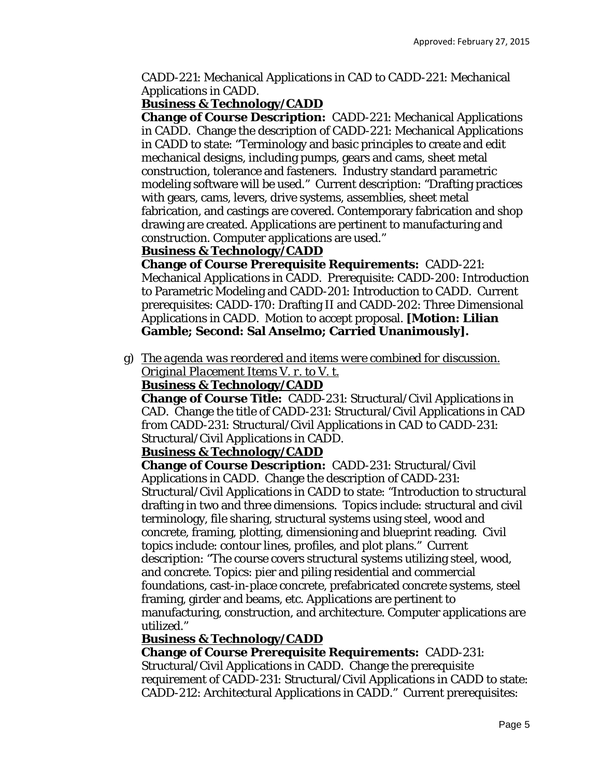CADD-221: Mechanical Applications in CAD *to* CADD-221: Mechanical Applications in CADD.

## **Business & Technology/CADD**

**Change of Course Description:** CADD-221: Mechanical Applications in CADD. Change the description of CADD-221: Mechanical Applications in CADD to state: "Terminology and basic principles to create and edit mechanical designs, including pumps, gears and cams, sheet metal construction, tolerance and fasteners. Industry standard parametric modeling software will be used." Current description: "Drafting practices with gears, cams, levers, drive systems, assemblies, sheet metal fabrication, and castings are covered. Contemporary fabrication and shop drawing are created. Applications are pertinent to manufacturing and construction. Computer applications are used."

#### **Business & Technology/CADD**

**Change of Course Prerequisite Requirements:** CADD-221: Mechanical Applications in CADD. Prerequisite: CADD-200: Introduction to Parametric Modeling and CADD-201: Introduction to CADD. Current prerequisites: CADD-170: Drafting II and CADD-202: Three Dimensional Applications in CADD. Motion to accept proposal. **[Motion: Lilian Gamble; Second: Sal Anselmo; Carried Unanimously].**

g) *The agenda was reordered and items were combined for discussion. Original Placement Items V. r. to V. t.* 

#### **Business & Technology/CADD**

**Change of Course Title:** CADD-231: Structural/Civil Applications in CAD. Change the title of CADD-231: Structural/Civil Applications in CAD *from* CADD-231: Structural/Civil Applications in CAD *to* CADD-231: Structural/Civil Applications in CADD.

#### **Business & Technology/CADD**

**Change of Course Description:** CADD-231: Structural/Civil Applications in CADD. Change the description of CADD-231: Structural/Civil Applications in CADD to state: "Introduction to structural drafting in two and three dimensions. Topics include: structural and civil terminology, file sharing, structural systems using steel, wood and concrete, framing, plotting, dimensioning and blueprint reading. Civil topics include: contour lines, profiles, and plot plans." Current description: "The course covers structural systems utilizing steel, wood, and concrete. Topics: pier and piling residential and commercial foundations, cast-in-place concrete, prefabricated concrete systems, steel framing, girder and beams, etc. Applications are pertinent to manufacturing, construction, and architecture. Computer applications are utilized."

#### **Business & Technology/CADD**

## **Change of Course Prerequisite Requirements:** CADD-231:

Structural/Civil Applications in CADD. Change the prerequisite requirement of CADD-231: Structural/Civil Applications in CADD to state: CADD-212: Architectural Applications in CADD." Current prerequisites: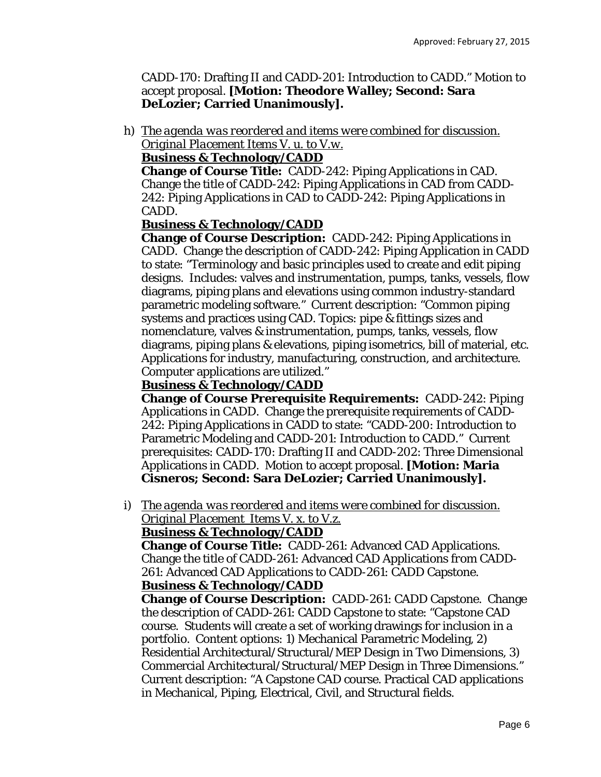CADD-170: Drafting II and CADD-201: Introduction to CADD." Motion to accept proposal. **[Motion: Theodore Walley; Second: Sara DeLozier; Carried Unanimously].**

h) *The agenda was reordered and items were combined for discussion. Original Placement Items V. u. to V.w.* 

# **Business & Technology/CADD**

**Change of Course Title:** CADD-242: Piping Applications in CAD. Change the title of CADD-242: Piping Applications in CAD *from* CADD-242: Piping Applications in CAD *to* CADD-242: Piping Applications in CADD.

# **Business & Technology/CADD**

**Change of Course Description:** CADD-242: Piping Applications in CADD. Change the description of CADD-242: Piping Application in CADD to state: "Terminology and basic principles used to create and edit piping designs. Includes: valves and instrumentation, pumps, tanks, vessels, flow diagrams, piping plans and elevations using common industry-standard parametric modeling software." Current description: "Common piping systems and practices using CAD. Topics: pipe & fittings sizes and nomenclature, valves & instrumentation, pumps, tanks, vessels, flow diagrams, piping plans & elevations, piping isometrics, bill of material, etc. Applications for industry, manufacturing, construction, and architecture. Computer applications are utilized."

## **Business & Technology/CADD**

**Change of Course Prerequisite Requirements:** CADD-242: Piping Applications in CADD. Change the prerequisite requirements of CADD-242: Piping Applications in CADD to state: "CADD-200: Introduction to Parametric Modeling and CADD-201: Introduction to CADD." Current prerequisites: CADD-170: Drafting II and CADD-202: Three Dimensional Applications in CADD. Motion to accept proposal. **[Motion: Maria Cisneros; Second: Sara DeLozier; Carried Unanimously].**

i) *The agenda was reordered and items were combined for discussion. Original Placement Items V. x. to V.z.* 

#### **Business & Technology/CADD**

**Change of Course Title:** CADD-261: Advanced CAD Applications. Change the title of CADD-261: Advanced CAD Applications *from* CADD-261: Advanced CAD Applications *to* CADD-261: CADD Capstone. **Business & Technology/CADD**

**Change of Course Description:** CADD-261: CADD Capstone. Change the description of CADD-261: CADD Capstone to state: "Capstone CAD course. Students will create a set of working drawings for inclusion in a portfolio. Content options: 1) Mechanical Parametric Modeling, 2) Residential Architectural/Structural/MEP Design in Two Dimensions, 3) Commercial Architectural/Structural/MEP Design in Three Dimensions." Current description: "A Capstone CAD course. Practical CAD applications in Mechanical, Piping, Electrical, Civil, and Structural fields.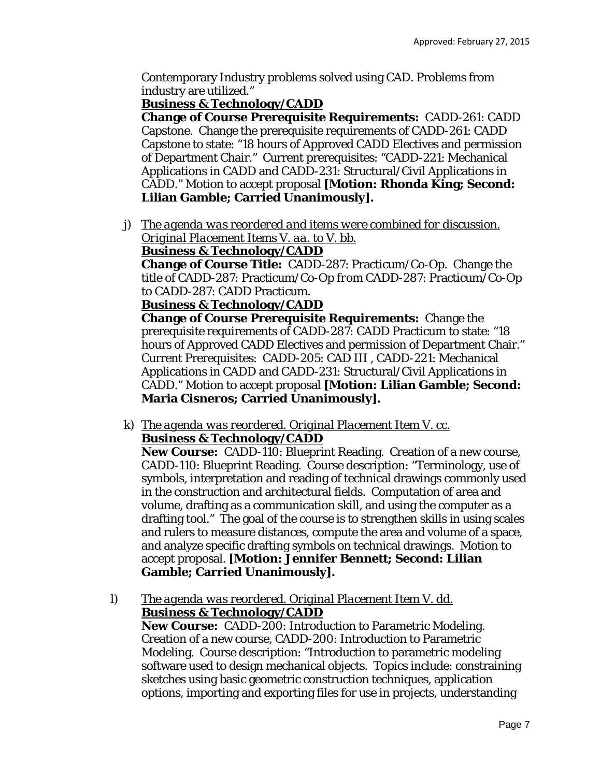Contemporary Industry problems solved using CAD. Problems from industry are utilized."

## **Business & Technology/CADD**

**Change of Course Prerequisite Requirements:** CADD-261: CADD Capstone. Change the prerequisite requirements of CADD-261: CADD Capstone to state: "18 hours of Approved CADD Electives and permission of Department Chair." Current prerequisites: "CADD-221: Mechanical Applications in CADD and CADD-231: Structural/Civil Applications in CADD." Motion to accept proposal **[Motion: Rhonda King; Second: Lilian Gamble; Carried Unanimously].**

j) *The agenda was reordered and items were combined for discussion. Original Placement Items V. aa. to V. bb.* 

# **Business & Technology/CADD**

**Change of Course Title:** CADD-287: Practicum/Co-Op. Change the title of CADD-287: Practicum/Co-Op *from* CADD-287: Practicum/Co-Op *to* CADD-287: CADD Practicum.

#### **Business & Technology/CADD**

**Change of Course Prerequisite Requirements:** Change the prerequisite requirements of CADD-287: CADD Practicum to state: "18 hours of Approved CADD Electives and permission of Department Chair." Current Prerequisites: CADD-205: CAD III , CADD-221: Mechanical Applications in CADD and CADD-231: Structural/Civil Applications in CADD." Motion to accept proposal **[Motion: Lilian Gamble; Second: Maria Cisneros; Carried Unanimously].**

k) *The agenda was reordered. Original Placement Item V. cc.*  **Business & Technology/CADD**

**New Course:** CADD-110: Blueprint Reading. Creation of a new course, CADD-110: Blueprint Reading. Course description: "Terminology, use of symbols, interpretation and reading of technical drawings commonly used in the construction and architectural fields. Computation of area and volume, drafting as a communication skill, and using the computer as a drafting tool." The goal of the course is to strengthen skills in using scales and rulers to measure distances, compute the area and volume of a space, and analyze specific drafting symbols on technical drawings. Motion to accept proposal. **[Motion: Jennifer Bennett; Second: Lilian Gamble; Carried Unanimously].**

l) *The agenda was reordered. Original Placement Item V. dd.*  **Business & Technology/CADD**

**New Course:** CADD-200: Introduction to Parametric Modeling. Creation of a new course, CADD-200: Introduction to Parametric Modeling. Course description: "Introduction to parametric modeling software used to design mechanical objects. Topics include: constraining sketches using basic geometric construction techniques, application options, importing and exporting files for use in projects, understanding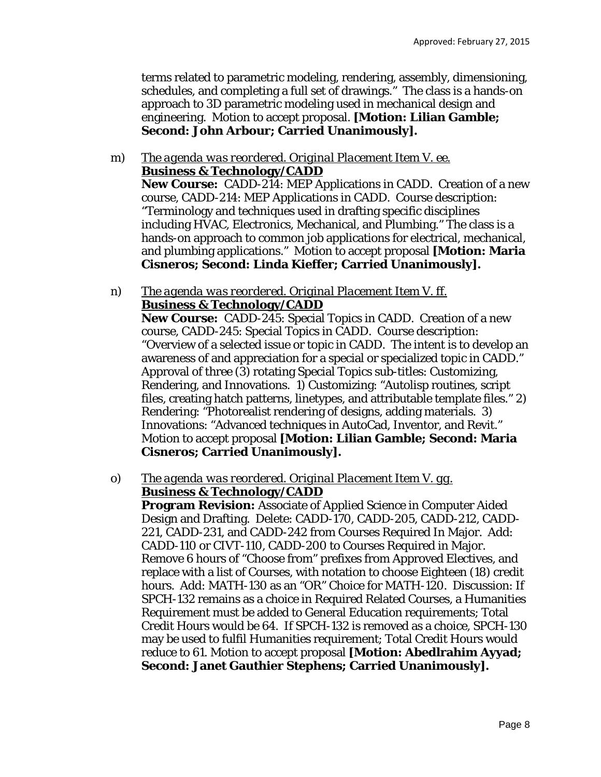terms related to parametric modeling, rendering, assembly, dimensioning, schedules, and completing a full set of drawings." The class is a hands-on approach to 3D parametric modeling used in mechanical design and engineering. Motion to accept proposal. **[Motion: Lilian Gamble; Second: John Arbour; Carried Unanimously].**

- m) *The agenda was reordered. Original Placement Item V. ee.*  **Business & Technology/CADD New Course:** CADD-214: MEP Applications in CADD. Creation of a new course, CADD-214: MEP Applications in CADD. Course description: "Terminology and techniques used in drafting specific disciplines including HVAC, Electronics, Mechanical, and Plumbing." The class is a hands-on approach to common job applications for electrical, mechanical, and plumbing applications." Motion to accept proposal **[Motion: Maria Cisneros; Second: Linda Kieffer; Carried Unanimously].**
- n) *The agenda was reordered. Original Placement Item V. ff.*  **Business & Technology/CADD**

**New Course:** CADD-245: Special Topics in CADD. Creation of a new course, CADD-245: Special Topics in CADD. Course description: "Overview of a selected issue or topic in CADD. The intent is to develop an awareness of and appreciation for a special or specialized topic in CADD." Approval of three (3) rotating Special Topics sub-titles: Customizing, Rendering, and Innovations. 1) Customizing: "Autolisp routines, script files, creating hatch patterns, linetypes, and attributable template files." 2) Rendering: "Photorealist rendering of designs, adding materials. 3) Innovations: "Advanced techniques in AutoCad, Inventor, and Revit." Motion to accept proposal **[Motion: Lilian Gamble; Second: Maria Cisneros; Carried Unanimously].**

#### o) *The agenda was reordered. Original Placement Item V. gg.*  **Business & Technology/CADD**

**Program Revision:** Associate of Applied Science in Computer Aided Design and Drafting. Delete: CADD-170, CADD-205, CADD-212, CADD-221, CADD-231, and CADD-242 from Courses Required In Major. Add: CADD-110 or CIVT-110, CADD-200 to Courses Required in Major. Remove 6 hours of "Choose from" prefixes from Approved Electives, and replace with a list of Courses, with notation to choose Eighteen (18) credit hours. Add: MATH-130 as an "OR" Choice for MATH-120. Discussion: If SPCH-132 remains as a choice in Required Related Courses, a Humanities Requirement must be added to General Education requirements; Total Credit Hours would be 64. If SPCH-132 is removed as a choice, SPCH-130 may be used to fulfil Humanities requirement; Total Credit Hours would reduce to 61. Motion to accept proposal **[Motion: Abedlrahim Ayyad; Second: Janet Gauthier Stephens; Carried Unanimously].**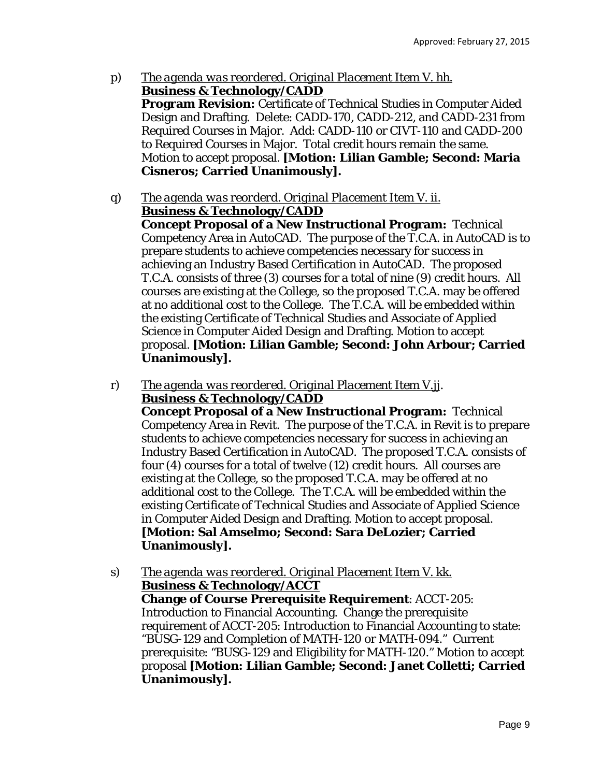- p) *The agenda was reordered. Original Placement Item V. hh.*  **Business & Technology/CADD Program Revision:** Certificate of Technical Studies in Computer Aided Design and Drafting. Delete: CADD-170, CADD-212, and CADD-231 from Required Courses in Major. Add: CADD-110 or CIVT-110 and CADD-200 to Required Courses in Major. Total credit hours remain the same. Motion to accept proposal. **[Motion: Lilian Gamble; Second: Maria Cisneros; Carried Unanimously].**
- q) *The agenda was reorderd. Original Placement Item V. ii.*  **Business & Technology/CADD**

**Concept Proposal of a New Instructional Program:** Technical Competency Area in AutoCAD. The purpose of the T.C.A. in AutoCAD is to prepare students to achieve competencies necessary for success in achieving an Industry Based Certification in AutoCAD. The proposed T.C.A. consists of three (3) courses for a total of nine (9) credit hours. All courses are existing at the College, so the proposed T.C.A. may be offered at no additional cost to the College. The T.C.A. will be embedded within the existing Certificate of Technical Studies and Associate of Applied Science in Computer Aided Design and Drafting. Motion to accept proposal. **[Motion: Lilian Gamble; Second: John Arbour; Carried Unanimously].**

r) *The agenda was reordered. Original Placement Item V.jj*. **Business & Technology/CADD**

**Concept Proposal of a New Instructional Program:** Technical Competency Area in Revit. The purpose of the T.C.A. in Revit is to prepare students to achieve competencies necessary for success in achieving an Industry Based Certification in AutoCAD. The proposed T.C.A. consists of four (4) courses for a total of twelve (12) credit hours. All courses are existing at the College, so the proposed T.C.A. may be offered at no additional cost to the College. The T.C.A. will be embedded within the existing Certificate of Technical Studies and Associate of Applied Science in Computer Aided Design and Drafting. Motion to accept proposal. **[Motion: Sal Amselmo; Second: Sara DeLozier; Carried Unanimously].** 

s) *The agenda was reordered. Original Placement Item V. kk.*  **Business & Technology/ACCT Change of Course Prerequisite Requirement**: ACCT-205: Introduction to Financial Accounting. Change the prerequisite requirement of ACCT-205: Introduction to Financial Accounting to state: "BUSG-129 and Completion of MATH-120 or MATH-094." Current prerequisite: "BUSG-129 and Eligibility for MATH-120." Motion to accept proposal **[Motion: Lilian Gamble; Second: Janet Colletti; Carried Unanimously].**